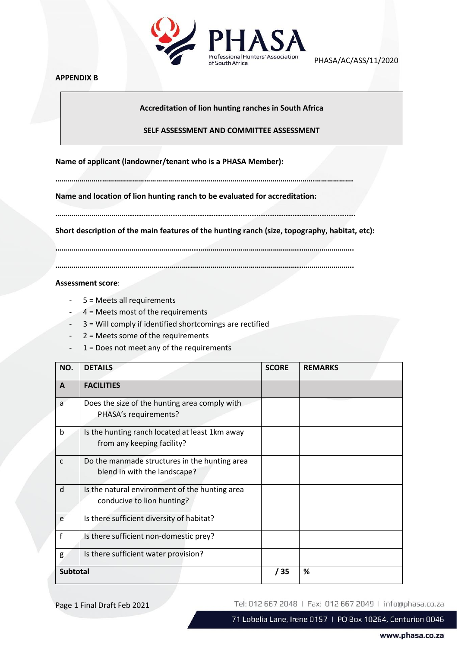

PHASA/AC/ASS/11/2020

# **APPENDIX B**

**Accreditation of lion hunting ranches in South Africa**

## **SELF ASSESSMENT AND COMMITTEE ASSESSMENT**

**Name of applicant (landowner/tenant who is a PHASA Member):** 

**…………………..…………………………………………………………………………………………….……………….**

**Name and location of lion hunting ranch to be evaluated for accreditation:**

**……………………………….....................................................................................................**

**Short description of the main features of the hunting ranch (size, topography, habitat, etc):**

**……………………………………………………………...…………………………………………..……………………..**

**………………………………………………………….…..…………………………………………..……………………..**

# **Assessment score**:

- 5 = Meets all requirements
- 4 = Meets most of the requirements
- 3 = Will comply if identified shortcomings are rectified
- 2 = Meets some of the requirements
- 1 = Does not meet any of the requirements

| NO.             | <b>DETAILS</b>                                                                | <b>SCORE</b> | <b>REMARKS</b> |
|-----------------|-------------------------------------------------------------------------------|--------------|----------------|
| A               | <b>FACILITIES</b>                                                             |              |                |
| a               | Does the size of the hunting area comply with<br>PHASA's requirements?        |              |                |
| b               | Is the hunting ranch located at least 1km away<br>from any keeping facility?  |              |                |
| C               | Do the manmade structures in the hunting area<br>blend in with the landscape? |              |                |
| d               | Is the natural environment of the hunting area<br>conducive to lion hunting?  |              |                |
| e               | Is there sufficient diversity of habitat?                                     |              |                |
| f               | Is there sufficient non-domestic prey?                                        |              |                |
| g               | Is there sufficient water provision?                                          |              |                |
| <b>Subtotal</b> |                                                                               | / 35         | %              |

Page 1 Final Draft Feb 2021

Tel: 012 667 2048 | Fax: 012 667 2049 | info@phasa.co.za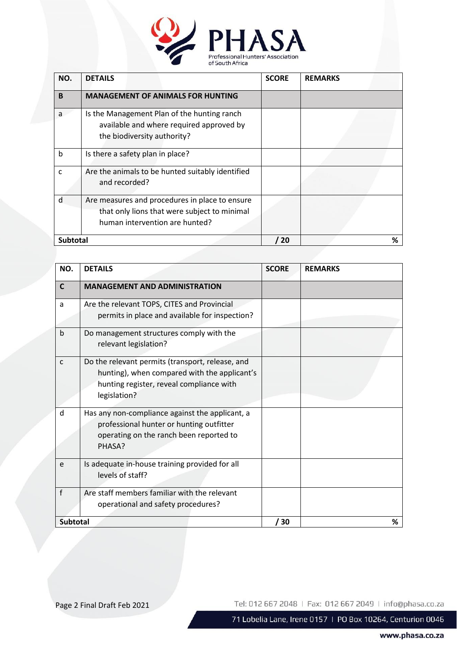

| NO.             | <b>DETAILS</b>                                                                                                                   | <b>SCORE</b> | <b>REMARKS</b> |
|-----------------|----------------------------------------------------------------------------------------------------------------------------------|--------------|----------------|
| B               | <b>MANAGEMENT OF ANIMALS FOR HUNTING</b>                                                                                         |              |                |
| a               | Is the Management Plan of the hunting ranch<br>available and where required approved by<br>the biodiversity authority?           |              |                |
| b               | Is there a safety plan in place?                                                                                                 |              |                |
| C               | Are the animals to be hunted suitably identified<br>and recorded?                                                                |              |                |
| d               | Are measures and procedures in place to ensure<br>that only lions that were subject to minimal<br>human intervention are hunted? |              |                |
| <b>Subtotal</b> |                                                                                                                                  | 20           | %              |

| NO.             | <b>DETAILS</b>                                                                                                                                               | <b>SCORE</b> | <b>REMARKS</b> |
|-----------------|--------------------------------------------------------------------------------------------------------------------------------------------------------------|--------------|----------------|
| $\mathsf{C}$    | <b>MANAGEMENT AND ADMINISTRATION</b>                                                                                                                         |              |                |
| a               | Are the relevant TOPS, CITES and Provincial<br>permits in place and available for inspection?                                                                |              |                |
| b               | Do management structures comply with the<br>relevant legislation?                                                                                            |              |                |
| $\mathsf{C}$    | Do the relevant permits (transport, release, and<br>hunting), when compared with the applicant's<br>hunting register, reveal compliance with<br>legislation? |              |                |
| d               | Has any non-compliance against the applicant, a<br>professional hunter or hunting outfitter<br>operating on the ranch been reported to<br>PHASA?             |              |                |
| e               | Is adequate in-house training provided for all<br>levels of staff?                                                                                           |              |                |
| f               | Are staff members familiar with the relevant<br>operational and safety procedures?                                                                           |              |                |
| <b>Subtotal</b> |                                                                                                                                                              | / 30         | %              |

Page 2 Final Draft Feb 2021

Tel: 012 667 2048 | Fax: 012 667 2049 | info@phasa.co.za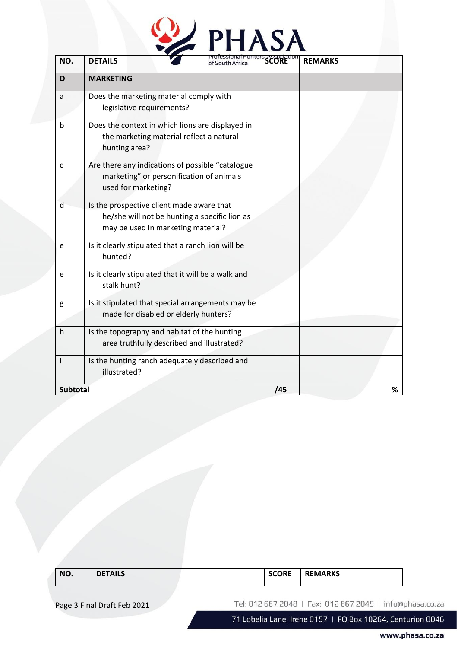| NO.             | <b>DETAILS</b>                                                                                                                   | <b>PHASA</b> |     | <b>REMARKS</b> |
|-----------------|----------------------------------------------------------------------------------------------------------------------------------|--------------|-----|----------------|
| D               | <b>MARKETING</b>                                                                                                                 |              |     |                |
| a               | Does the marketing material comply with<br>legislative requirements?                                                             |              |     |                |
| <sub>b</sub>    | Does the context in which lions are displayed in<br>the marketing material reflect a natural<br>hunting area?                    |              |     |                |
| C               | Are there any indications of possible "catalogue<br>marketing" or personification of animals<br>used for marketing?              |              |     |                |
| $\mathsf{d}$    | Is the prospective client made aware that<br>he/she will not be hunting a specific lion as<br>may be used in marketing material? |              |     |                |
| e               | Is it clearly stipulated that a ranch lion will be<br>hunted?                                                                    |              |     |                |
| e               | Is it clearly stipulated that it will be a walk and<br>stalk hunt?                                                               |              |     |                |
| g               | Is it stipulated that special arrangements may be<br>made for disabled or elderly hunters?                                       |              |     |                |
| h.              | Is the topography and habitat of the hunting<br>area truthfully described and illustrated?                                       |              |     |                |
| İ.              | Is the hunting ranch adequately described and<br>illustrated?                                                                    |              |     |                |
| <b>Subtotal</b> |                                                                                                                                  |              | /45 | ℅              |

| NO.<br><b>.</b><br>AILS | $\sim$<br>EMARKS<br>ושי<br>__ |
|-------------------------|-------------------------------|
|-------------------------|-------------------------------|

Page 3 Final Draft Feb 2021

Tel: 012 667 2048 | Fax: 012 667 2049 | info@phasa.co.za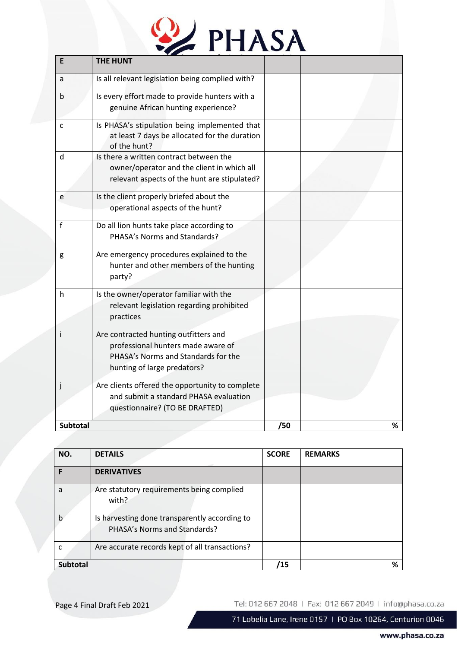

| E               | <b>THE HUNT</b>                                                                                                                                   |     |   |
|-----------------|---------------------------------------------------------------------------------------------------------------------------------------------------|-----|---|
| a               | Is all relevant legislation being complied with?                                                                                                  |     |   |
| b               | Is every effort made to provide hunters with a<br>genuine African hunting experience?                                                             |     |   |
| C               | Is PHASA's stipulation being implemented that<br>at least 7 days be allocated for the duration<br>of the hunt?                                    |     |   |
| d               | Is there a written contract between the<br>owner/operator and the client in which all<br>relevant aspects of the hunt are stipulated?             |     |   |
| e               | Is the client properly briefed about the<br>operational aspects of the hunt?                                                                      |     |   |
| f               | Do all lion hunts take place according to<br>PHASA's Norms and Standards?                                                                         |     |   |
| g               | Are emergency procedures explained to the<br>hunter and other members of the hunting<br>party?                                                    |     |   |
| h.              | Is the owner/operator familiar with the<br>relevant legislation regarding prohibited<br>practices                                                 |     |   |
| Ť               | Are contracted hunting outfitters and<br>professional hunters made aware of<br>PHASA's Norms and Standards for the<br>hunting of large predators? |     |   |
| j               | Are clients offered the opportunity to complete<br>and submit a standard PHASA evaluation<br>questionnaire? (TO BE DRAFTED)                       |     |   |
| <b>Subtotal</b> |                                                                                                                                                   | /50 | % |

| NO.             | <b>DETAILS</b>                                                                | <b>SCORE</b> | <b>REMARKS</b> |
|-----------------|-------------------------------------------------------------------------------|--------------|----------------|
|                 | <b>DERIVATIVES</b>                                                            |              |                |
| a               | Are statutory requirements being complied<br>with?                            |              |                |
| b               | Is harvesting done transparently according to<br>PHASA's Norms and Standards? |              |                |
|                 | Are accurate records kept of all transactions?                                |              |                |
| <b>Subtotal</b> |                                                                               | 15           | %              |

Page 4 Final Draft Feb 2021

Tel: 012 667 2048 | Fax: 012 667 2049 | info@phasa.co.za